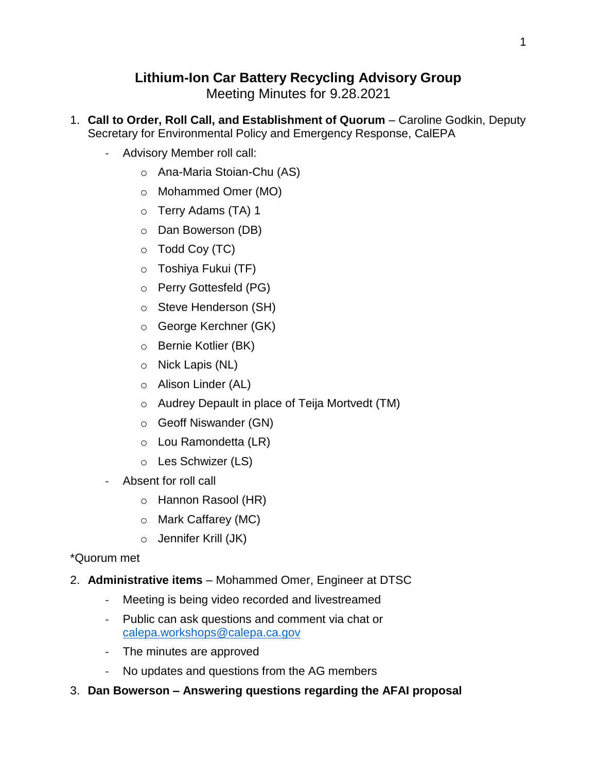## **Lithium-Ion Car Battery Recycling Advisory Group**

Meeting Minutes for 9.28.2021

- 1. **Call to Order, Roll Call, and Establishment of Quorum** Caroline Godkin, Deputy Secretary for Environmental Policy and Emergency Response, CalEPA
	- Advisory Member roll call:
		- o Ana-Maria Stoian-Chu (AS)
		- o Mohammed Omer (MO)
		- o Terry Adams (TA) 1
		- o Dan Bowerson (DB)
		- $\circ$  Todd Coy (TC)
		- o Toshiya Fukui (TF)
		- o Perry Gottesfeld (PG)
		- o Steve Henderson (SH)
		- o George Kerchner (GK)
		- o Bernie Kotlier (BK)
		- o Nick Lapis (NL)
		- o Alison Linder (AL)
		- o Audrey Depault in place of Teija Mortvedt (TM)
		- o Geoff Niswander (GN)
		- o Lou Ramondetta (LR)
		- o Les Schwizer (LS)
	- Absent for roll call
		- o Hannon Rasool (HR)
		- o Mark Caffarey (MC)
		- o Jennifer Krill (JK)

## \*Quorum met

- 2. **Administrative items** Mohammed Omer, Engineer at DTSC
	- Meeting is being video recorded and livestreamed
	- Public can ask questions and comment via chat or [calepa.workshops@calepa.ca.gov](mailto:calepa.workshops@calepa.ca.gov)
	- The minutes are approved
	- No updates and questions from the AG members
- 3. **Dan Bowerson – Answering questions regarding the AFAI proposal**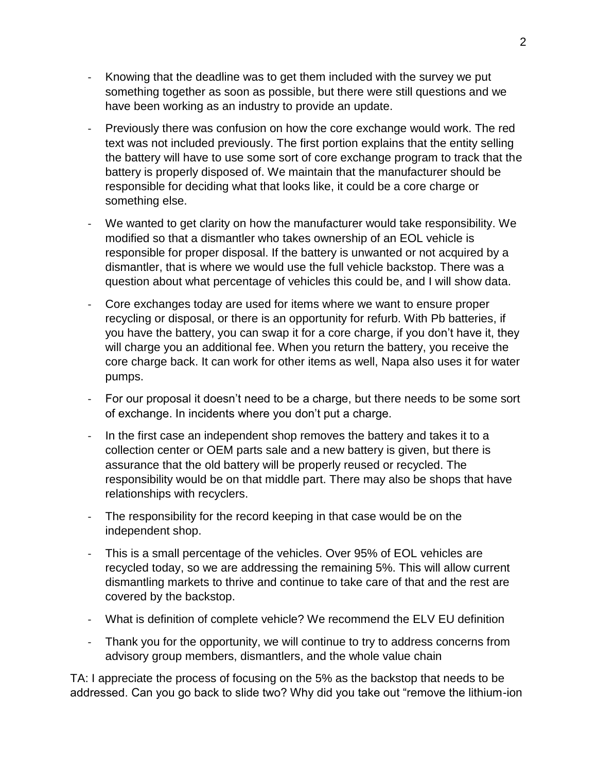- Knowing that the deadline was to get them included with the survey we put something together as soon as possible, but there were still questions and we have been working as an industry to provide an update.
- Previously there was confusion on how the core exchange would work. The red text was not included previously. The first portion explains that the entity selling the battery will have to use some sort of core exchange program to track that the battery is properly disposed of. We maintain that the manufacturer should be responsible for deciding what that looks like, it could be a core charge or something else.
- We wanted to get clarity on how the manufacturer would take responsibility. We modified so that a dismantler who takes ownership of an EOL vehicle is responsible for proper disposal. If the battery is unwanted or not acquired by a dismantler, that is where we would use the full vehicle backstop. There was a question about what percentage of vehicles this could be, and I will show data.
- Core exchanges today are used for items where we want to ensure proper recycling or disposal, or there is an opportunity for refurb. With Pb batteries, if you have the battery, you can swap it for a core charge, if you don't have it, they will charge you an additional fee. When you return the battery, you receive the core charge back. It can work for other items as well, Napa also uses it for water pumps.
- For our proposal it doesn't need to be a charge, but there needs to be some sort of exchange. In incidents where you don't put a charge.
- In the first case an independent shop removes the battery and takes it to a collection center or OEM parts sale and a new battery is given, but there is assurance that the old battery will be properly reused or recycled. The responsibility would be on that middle part. There may also be shops that have relationships with recyclers.
- The responsibility for the record keeping in that case would be on the independent shop.
- This is a small percentage of the vehicles. Over 95% of EOL vehicles are recycled today, so we are addressing the remaining 5%. This will allow current dismantling markets to thrive and continue to take care of that and the rest are covered by the backstop.
- What is definition of complete vehicle? We recommend the ELV EU definition
- Thank you for the opportunity, we will continue to try to address concerns from advisory group members, dismantlers, and the whole value chain

TA: I appreciate the process of focusing on the 5% as the backstop that needs to be addressed. Can you go back to slide two? Why did you take out "remove the lithium-ion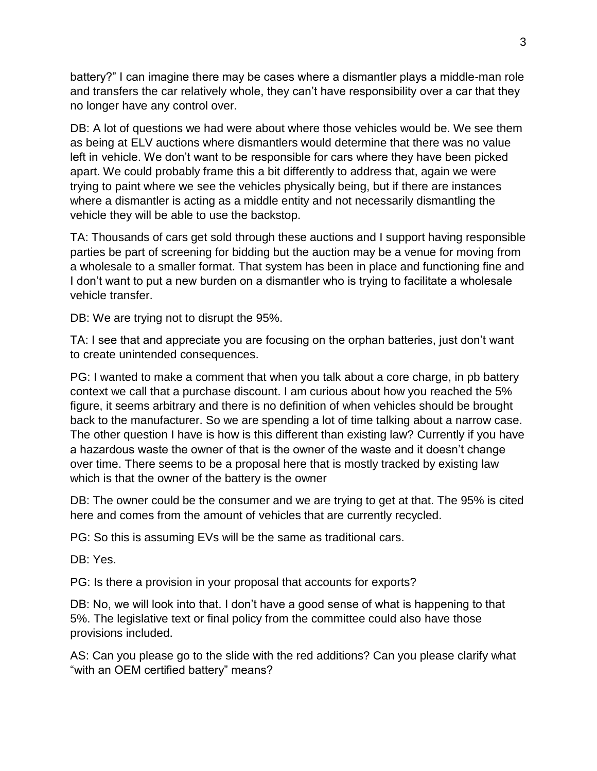battery?" I can imagine there may be cases where a dismantler plays a middle-man role and transfers the car relatively whole, they can't have responsibility over a car that they no longer have any control over.

DB: A lot of questions we had were about where those vehicles would be. We see them as being at ELV auctions where dismantlers would determine that there was no value left in vehicle. We don't want to be responsible for cars where they have been picked apart. We could probably frame this a bit differently to address that, again we were trying to paint where we see the vehicles physically being, but if there are instances where a dismantler is acting as a middle entity and not necessarily dismantling the vehicle they will be able to use the backstop.

TA: Thousands of cars get sold through these auctions and I support having responsible parties be part of screening for bidding but the auction may be a venue for moving from a wholesale to a smaller format. That system has been in place and functioning fine and I don't want to put a new burden on a dismantler who is trying to facilitate a wholesale vehicle transfer.

DB: We are trying not to disrupt the 95%.

TA: I see that and appreciate you are focusing on the orphan batteries, just don't want to create unintended consequences.

PG: I wanted to make a comment that when you talk about a core charge, in pb battery context we call that a purchase discount. I am curious about how you reached the 5% figure, it seems arbitrary and there is no definition of when vehicles should be brought back to the manufacturer. So we are spending a lot of time talking about a narrow case. The other question I have is how is this different than existing law? Currently if you have a hazardous waste the owner of that is the owner of the waste and it doesn't change over time. There seems to be a proposal here that is mostly tracked by existing law which is that the owner of the battery is the owner

DB: The owner could be the consumer and we are trying to get at that. The 95% is cited here and comes from the amount of vehicles that are currently recycled.

PG: So this is assuming EVs will be the same as traditional cars.

DB: Yes.

PG: Is there a provision in your proposal that accounts for exports?

DB: No, we will look into that. I don't have a good sense of what is happening to that 5%. The legislative text or final policy from the committee could also have those provisions included.

AS: Can you please go to the slide with the red additions? Can you please clarify what "with an OEM certified battery" means?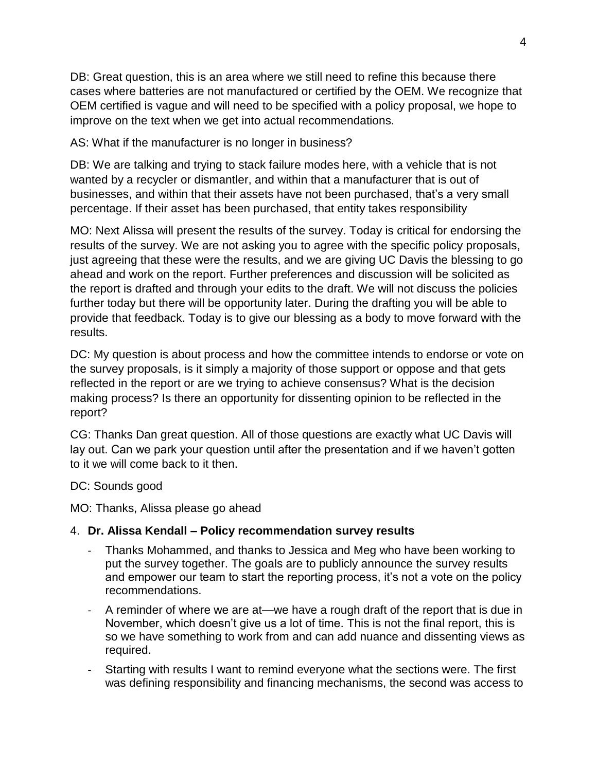DB: Great question, this is an area where we still need to refine this because there cases where batteries are not manufactured or certified by the OEM. We recognize that OEM certified is vague and will need to be specified with a policy proposal, we hope to improve on the text when we get into actual recommendations.

AS: What if the manufacturer is no longer in business?

DB: We are talking and trying to stack failure modes here, with a vehicle that is not wanted by a recycler or dismantler, and within that a manufacturer that is out of businesses, and within that their assets have not been purchased, that's a very small percentage. If their asset has been purchased, that entity takes responsibility

MO: Next Alissa will present the results of the survey. Today is critical for endorsing the results of the survey. We are not asking you to agree with the specific policy proposals, just agreeing that these were the results, and we are giving UC Davis the blessing to go ahead and work on the report. Further preferences and discussion will be solicited as the report is drafted and through your edits to the draft. We will not discuss the policies further today but there will be opportunity later. During the drafting you will be able to provide that feedback. Today is to give our blessing as a body to move forward with the results.

DC: My question is about process and how the committee intends to endorse or vote on the survey proposals, is it simply a majority of those support or oppose and that gets reflected in the report or are we trying to achieve consensus? What is the decision making process? Is there an opportunity for dissenting opinion to be reflected in the report?

CG: Thanks Dan great question. All of those questions are exactly what UC Davis will lay out. Can we park your question until after the presentation and if we haven't gotten to it we will come back to it then.

DC: Sounds good

MO: Thanks, Alissa please go ahead

## 4. **Dr. Alissa Kendall – Policy recommendation survey results**

- Thanks Mohammed, and thanks to Jessica and Meg who have been working to put the survey together. The goals are to publicly announce the survey results and empower our team to start the reporting process, it's not a vote on the policy recommendations.
- A reminder of where we are at—we have a rough draft of the report that is due in November, which doesn't give us a lot of time. This is not the final report, this is so we have something to work from and can add nuance and dissenting views as required.
- Starting with results I want to remind everyone what the sections were. The first was defining responsibility and financing mechanisms, the second was access to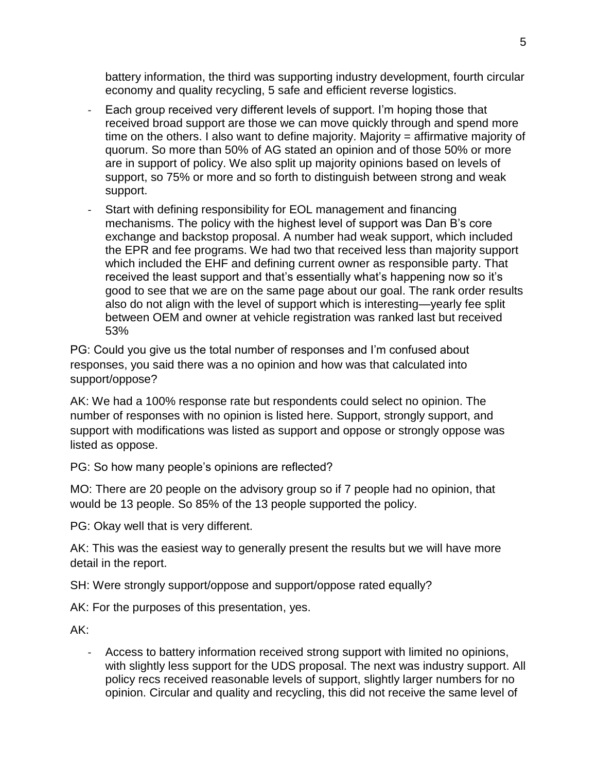battery information, the third was supporting industry development, fourth circular economy and quality recycling, 5 safe and efficient reverse logistics.

- Each group received very different levels of support. I'm hoping those that received broad support are those we can move quickly through and spend more time on the others. I also want to define majority. Majority = affirmative majority of quorum. So more than 50% of AG stated an opinion and of those 50% or more are in support of policy. We also split up majority opinions based on levels of support, so 75% or more and so forth to distinguish between strong and weak support.
- Start with defining responsibility for EOL management and financing mechanisms. The policy with the highest level of support was Dan B's core exchange and backstop proposal. A number had weak support, which included the EPR and fee programs. We had two that received less than majority support which included the EHF and defining current owner as responsible party. That received the least support and that's essentially what's happening now so it's good to see that we are on the same page about our goal. The rank order results also do not align with the level of support which is interesting—yearly fee split between OEM and owner at vehicle registration was ranked last but received 53%

PG: Could you give us the total number of responses and I'm confused about responses, you said there was a no opinion and how was that calculated into support/oppose?

AK: We had a 100% response rate but respondents could select no opinion. The number of responses with no opinion is listed here. Support, strongly support, and support with modifications was listed as support and oppose or strongly oppose was listed as oppose.

PG: So how many people's opinions are reflected?

MO: There are 20 people on the advisory group so if 7 people had no opinion, that would be 13 people. So 85% of the 13 people supported the policy.

PG: Okay well that is very different.

AK: This was the easiest way to generally present the results but we will have more detail in the report.

SH: Were strongly support/oppose and support/oppose rated equally?

AK: For the purposes of this presentation, yes.

AK:

- Access to battery information received strong support with limited no opinions, with slightly less support for the UDS proposal. The next was industry support. All policy recs received reasonable levels of support, slightly larger numbers for no opinion. Circular and quality and recycling, this did not receive the same level of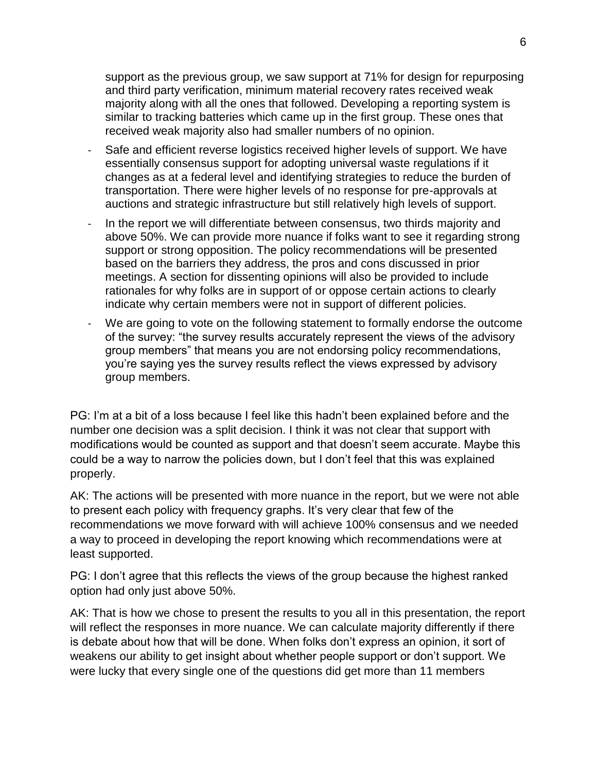support as the previous group, we saw support at 71% for design for repurposing and third party verification, minimum material recovery rates received weak majority along with all the ones that followed. Developing a reporting system is similar to tracking batteries which came up in the first group. These ones that received weak majority also had smaller numbers of no opinion.

- Safe and efficient reverse logistics received higher levels of support. We have essentially consensus support for adopting universal waste regulations if it changes as at a federal level and identifying strategies to reduce the burden of transportation. There were higher levels of no response for pre-approvals at auctions and strategic infrastructure but still relatively high levels of support.
- In the report we will differentiate between consensus, two thirds majority and above 50%. We can provide more nuance if folks want to see it regarding strong support or strong opposition. The policy recommendations will be presented based on the barriers they address, the pros and cons discussed in prior meetings. A section for dissenting opinions will also be provided to include rationales for why folks are in support of or oppose certain actions to clearly indicate why certain members were not in support of different policies.
- We are going to vote on the following statement to formally endorse the outcome of the survey: "the survey results accurately represent the views of the advisory group members" that means you are not endorsing policy recommendations, you're saying yes the survey results reflect the views expressed by advisory group members.

PG: I'm at a bit of a loss because I feel like this hadn't been explained before and the number one decision was a split decision. I think it was not clear that support with modifications would be counted as support and that doesn't seem accurate. Maybe this could be a way to narrow the policies down, but I don't feel that this was explained properly.

AK: The actions will be presented with more nuance in the report, but we were not able to present each policy with frequency graphs. It's very clear that few of the recommendations we move forward with will achieve 100% consensus and we needed a way to proceed in developing the report knowing which recommendations were at least supported.

PG: I don't agree that this reflects the views of the group because the highest ranked option had only just above 50%.

AK: That is how we chose to present the results to you all in this presentation, the report will reflect the responses in more nuance. We can calculate majority differently if there is debate about how that will be done. When folks don't express an opinion, it sort of weakens our ability to get insight about whether people support or don't support. We were lucky that every single one of the questions did get more than 11 members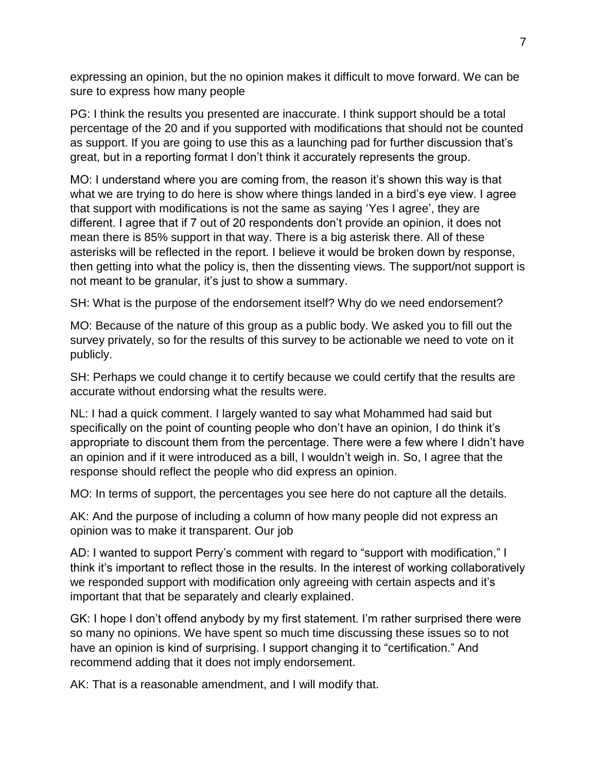expressing an opinion, but the no opinion makes it difficult to move forward. We can be sure to express how many people

PG: I think the results you presented are inaccurate. I think support should be a total percentage of the 20 and if you supported with modifications that should not be counted as support. If you are going to use this as a launching pad for further discussion that's great, but in a reporting format I don't think it accurately represents the group.

MO: I understand where you are coming from, the reason it's shown this way is that what we are trying to do here is show where things landed in a bird's eye view. I agree that support with modifications is not the same as saying 'Yes I agree', they are different. I agree that if 7 out of 20 respondents don't provide an opinion, it does not mean there is 85% support in that way. There is a big asterisk there. All of these asterisks will be reflected in the report. I believe it would be broken down by response, then getting into what the policy is, then the dissenting views. The support/not support is not meant to be granular, it's just to show a summary.

SH: What is the purpose of the endorsement itself? Why do we need endorsement?

MO: Because of the nature of this group as a public body. We asked you to fill out the survey privately, so for the results of this survey to be actionable we need to vote on it publicly.

SH: Perhaps we could change it to certify because we could certify that the results are accurate without endorsing what the results were.

NL: I had a quick comment. I largely wanted to say what Mohammed had said but specifically on the point of counting people who don't have an opinion, I do think it's appropriate to discount them from the percentage. There were a few where I didn't have an opinion and if it were introduced as a bill, I wouldn't weigh in. So, I agree that the response should reflect the people who did express an opinion.

MO: In terms of support, the percentages you see here do not capture all the details.

AK: And the purpose of including a column of how many people did not express an opinion was to make it transparent. Our job

AD: I wanted to support Perry's comment with regard to "support with modification," I think it's important to reflect those in the results. In the interest of working collaboratively we responded support with modification only agreeing with certain aspects and it's important that that be separately and clearly explained.

GK: I hope I don't offend anybody by my first statement. I'm rather surprised there were so many no opinions. We have spent so much time discussing these issues so to not have an opinion is kind of surprising. I support changing it to "certification." And recommend adding that it does not imply endorsement.

AK: That is a reasonable amendment, and I will modify that.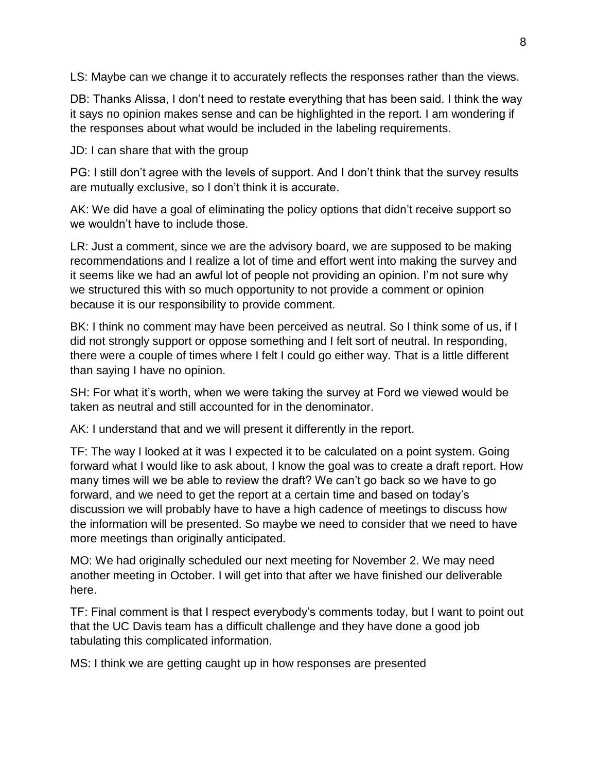LS: Maybe can we change it to accurately reflects the responses rather than the views.

DB: Thanks Alissa, I don't need to restate everything that has been said. I think the way it says no opinion makes sense and can be highlighted in the report. I am wondering if the responses about what would be included in the labeling requirements.

JD: I can share that with the group

PG: I still don't agree with the levels of support. And I don't think that the survey results are mutually exclusive, so I don't think it is accurate.

AK: We did have a goal of eliminating the policy options that didn't receive support so we wouldn't have to include those.

LR: Just a comment, since we are the advisory board, we are supposed to be making recommendations and I realize a lot of time and effort went into making the survey and it seems like we had an awful lot of people not providing an opinion. I'm not sure why we structured this with so much opportunity to not provide a comment or opinion because it is our responsibility to provide comment.

BK: I think no comment may have been perceived as neutral. So I think some of us, if I did not strongly support or oppose something and I felt sort of neutral. In responding, there were a couple of times where I felt I could go either way. That is a little different than saying I have no opinion.

SH: For what it's worth, when we were taking the survey at Ford we viewed would be taken as neutral and still accounted for in the denominator.

AK: I understand that and we will present it differently in the report.

TF: The way I looked at it was I expected it to be calculated on a point system. Going forward what I would like to ask about, I know the goal was to create a draft report. How many times will we be able to review the draft? We can't go back so we have to go forward, and we need to get the report at a certain time and based on today's discussion we will probably have to have a high cadence of meetings to discuss how the information will be presented. So maybe we need to consider that we need to have more meetings than originally anticipated.

MO: We had originally scheduled our next meeting for November 2. We may need another meeting in October. I will get into that after we have finished our deliverable here.

TF: Final comment is that I respect everybody's comments today, but I want to point out that the UC Davis team has a difficult challenge and they have done a good job tabulating this complicated information.

MS: I think we are getting caught up in how responses are presented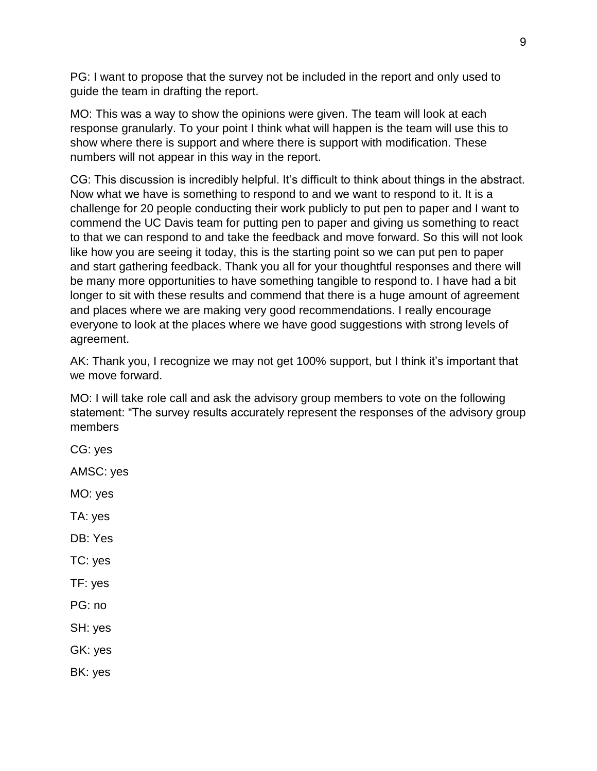PG: I want to propose that the survey not be included in the report and only used to guide the team in drafting the report.

MO: This was a way to show the opinions were given. The team will look at each response granularly. To your point I think what will happen is the team will use this to show where there is support and where there is support with modification. These numbers will not appear in this way in the report.

CG: This discussion is incredibly helpful. It's difficult to think about things in the abstract. Now what we have is something to respond to and we want to respond to it. It is a challenge for 20 people conducting their work publicly to put pen to paper and I want to commend the UC Davis team for putting pen to paper and giving us something to react to that we can respond to and take the feedback and move forward. So this will not look like how you are seeing it today, this is the starting point so we can put pen to paper and start gathering feedback. Thank you all for your thoughtful responses and there will be many more opportunities to have something tangible to respond to. I have had a bit longer to sit with these results and commend that there is a huge amount of agreement and places where we are making very good recommendations. I really encourage everyone to look at the places where we have good suggestions with strong levels of agreement.

AK: Thank you, I recognize we may not get 100% support, but I think it's important that we move forward.

MO: I will take role call and ask the advisory group members to vote on the following statement: "The survey results accurately represent the responses of the advisory group members

CG: yes AMSC: yes MO: yes TA: yes DB: Yes TC: yes TF: yes PG: no SH: yes GK: yes BK: yes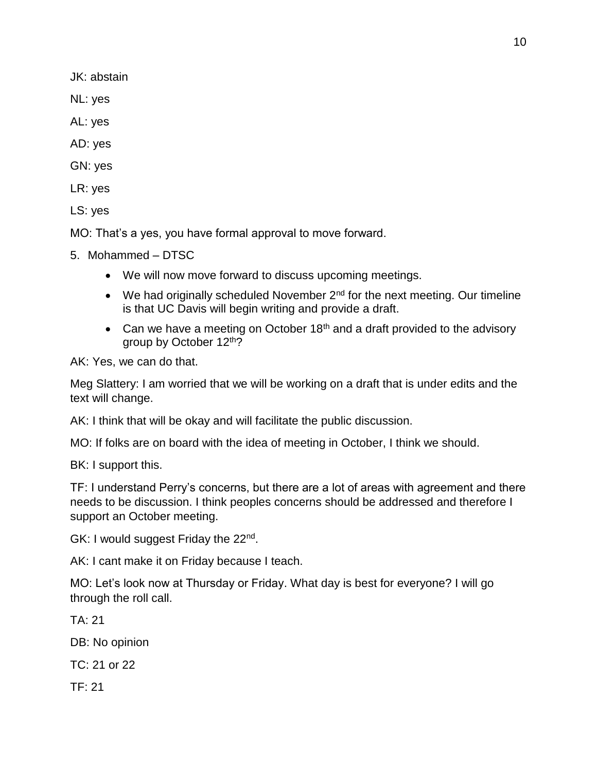JK: abstain

NL: yes

AL: yes

AD: yes

GN: yes

LR: yes

LS: yes

MO: That's a yes, you have formal approval to move forward.

5. Mohammed – DTSC

- We will now move forward to discuss upcoming meetings.
- $\bullet$  We had originally scheduled November  $2^{nd}$  for the next meeting. Our timeline is that UC Davis will begin writing and provide a draft.
- Can we have a meeting on October  $18<sup>th</sup>$  and a draft provided to the advisory group by October 12th?

AK: Yes, we can do that.

Meg Slattery: I am worried that we will be working on a draft that is under edits and the text will change.

AK: I think that will be okay and will facilitate the public discussion.

MO: If folks are on board with the idea of meeting in October, I think we should.

BK: I support this.

TF: I understand Perry's concerns, but there are a lot of areas with agreement and there needs to be discussion. I think peoples concerns should be addressed and therefore I support an October meeting.

GK: I would suggest Friday the 22<sup>nd</sup>.

AK: I cant make it on Friday because I teach.

MO: Let's look now at Thursday or Friday. What day is best for everyone? I will go through the roll call.

TA: 21

DB: No opinion

TC: 21 or 22

TF: 21